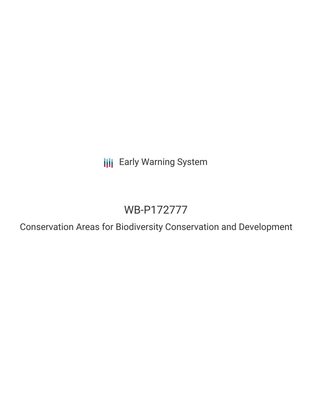**III** Early Warning System

# WB-P172777

Conservation Areas for Biodiversity Conservation and Development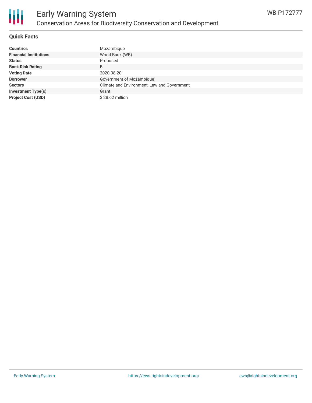

# **Quick Facts**

| <b>Countries</b>              | Mozambique                                  |
|-------------------------------|---------------------------------------------|
| <b>Financial Institutions</b> | World Bank (WB)                             |
| <b>Status</b>                 | Proposed                                    |
| <b>Bank Risk Rating</b>       | B                                           |
| <b>Voting Date</b>            | 2020-08-20                                  |
| <b>Borrower</b>               | Government of Mozambique                    |
| <b>Sectors</b>                | Climate and Environment, Law and Government |
| <b>Investment Type(s)</b>     | Grant                                       |
| <b>Project Cost (USD)</b>     | \$28.62 million                             |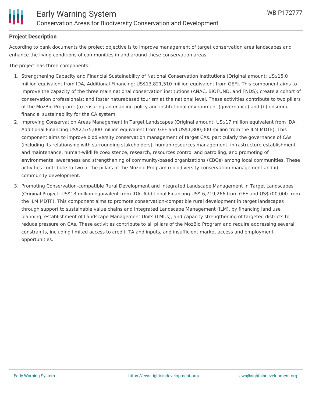

# **Project Description**

According to bank documents the project objective is to improve management of target conservation area landscapes and enhance the living conditions of communities in and around these conservation areas.

The project has three components:

- 1. Strengthening Capacity and Financial Sustainability of National Conservation Institutions (Original amount: US\$15.0 million equivalent from IDA, Additional Financing: US\$13,821,510 million equivalent from GEF). This component aims to improve the capacity of the three main national conservation institutions (ANAC, BIOFUND, and FNDS); create a cohort of conservation professionals; and foster naturebased tourism at the national level. These activities contribute to two pillars of the MozBio Program: (a) ensuring an enabling policy and institutional environment (governance) and (b) ensuring financial sustainability for the CA system.
- 2. Improving Conservation Areas Management in Target Landscapes (Original amount: US\$17 million equivalent from IDA, Additional Financing US\$2,575,000 million equivalent from GEF and US\$1,800,000 million from the ILM MDTF). This component aims to improve biodiversity conservation management of target CAs, particularly the governance of CAs (including its relationship with surrounding stakeholders), human resources management, infrastructure establishment and maintenance, human-wildlife coexistence, research, resources control and patrolling, and promoting of environmental awareness and strengthening of community-based organizations (CBOs) among local communities. These activities contribute to two of the pillars of the Mozbio Program i) biodiversity conservation management and ii) community development.
- 3. Promoting Conservation-compatible Rural Development and Integrated Landscape Management in Target Landscapes (Original Project: US\$13 million equivalent from IDA, Additional Financing US\$ 6,719,266 from GEF and US\$700,000 from the ILM MDTF). This component aims to promote conservation-compatible rural development in target landscapes through support to sustainable value chains and Integrated Landscape Management (ILM), by financing land use planning, establishment of Landscape Management Units (LMUs), and capacity strengthening of targeted districts to reduce pressure on CAs. These activities contribute to all pillars of the MozBio Program and require addressing several constraints, including limited access to credit, TA and inputs, and insufficient market access and employment opportunities.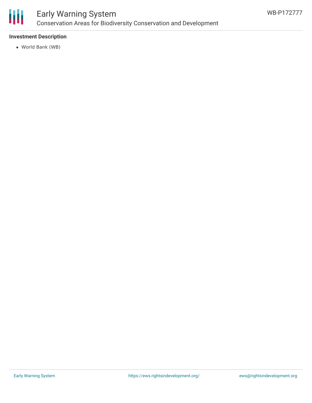

# Early Warning System Conservation Areas for Biodiversity Conservation and Development

# **Investment Description**

World Bank (WB)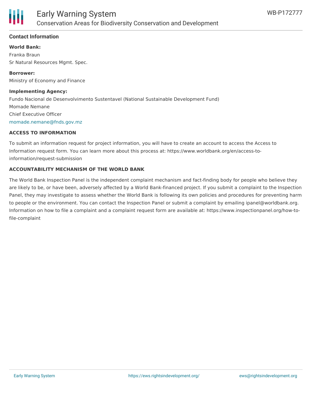

## **Contact Information**

#### **World Bank:**

Franka Braun Sr Natural Resources Mgmt. Spec.

**Borrower:** Ministry of Economy and Finance

#### **Implementing Agency:**

Fundo Nacional de Desenvolvimento Sustentavel (National Sustainable Development Fund) Momade Nemane Chief Executive Officer [momade.nemane@fnds.gov.mz](mailto:momade.nemane@fnds.gov.mz)

#### **ACCESS TO INFORMATION**

To submit an information request for project information, you will have to create an account to access the Access to Information request form. You can learn more about this process at: https://www.worldbank.org/en/access-toinformation/request-submission

## **ACCOUNTABILITY MECHANISM OF THE WORLD BANK**

The World Bank Inspection Panel is the independent complaint mechanism and fact-finding body for people who believe they are likely to be, or have been, adversely affected by a World Bank-financed project. If you submit a complaint to the Inspection Panel, they may investigate to assess whether the World Bank is following its own policies and procedures for preventing harm to people or the environment. You can contact the Inspection Panel or submit a complaint by emailing ipanel@worldbank.org. Information on how to file a complaint and a complaint request form are available at: https://www.inspectionpanel.org/how-tofile-complaint